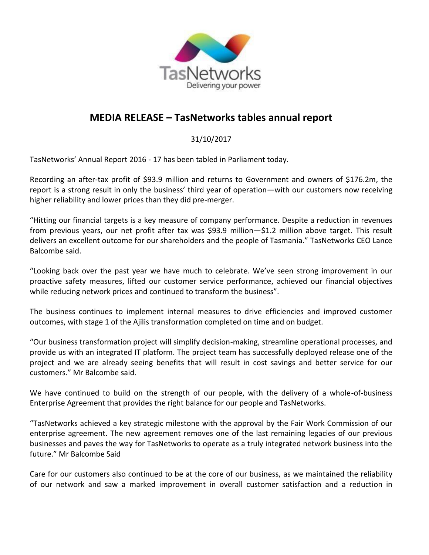

## **MEDIA RELEASE – TasNetworks tables annual report**

31/10/2017

TasNetworks' Annual Report 2016 - 17 has been tabled in Parliament today.

Recording an after-tax profit of \$93.9 million and returns to Government and owners of \$176.2m, the report is a strong result in only the business' third year of operation—with our customers now receiving higher reliability and lower prices than they did pre-merger.

"Hitting our financial targets is a key measure of company performance. Despite a reduction in revenues from previous years, our net profit after tax was \$93.9 million—\$1.2 million above target. This result delivers an excellent outcome for our shareholders and the people of Tasmania." TasNetworks CEO Lance Balcombe said.

"Looking back over the past year we have much to celebrate. We've seen strong improvement in our proactive safety measures, lifted our customer service performance, achieved our financial objectives while reducing network prices and continued to transform the business".

The business continues to implement internal measures to drive efficiencies and improved customer outcomes, with stage 1 of the Ajilis transformation completed on time and on budget.

"Our business transformation project will simplify decision-making, streamline operational processes, and provide us with an integrated IT platform. The project team has successfully deployed release one of the project and we are already seeing benefits that will result in cost savings and better service for our customers." Mr Balcombe said.

We have continued to build on the strength of our people, with the delivery of a whole-of-business Enterprise Agreement that provides the right balance for our people and TasNetworks.

"TasNetworks achieved a key strategic milestone with the approval by the Fair Work Commission of our enterprise agreement. The new agreement removes one of the last remaining legacies of our previous businesses and paves the way for TasNetworks to operate as a truly integrated network business into the future." Mr Balcombe Said

Care for our customers also continued to be at the core of our business, as we maintained the reliability of our network and saw a marked improvement in overall customer satisfaction and a reduction in